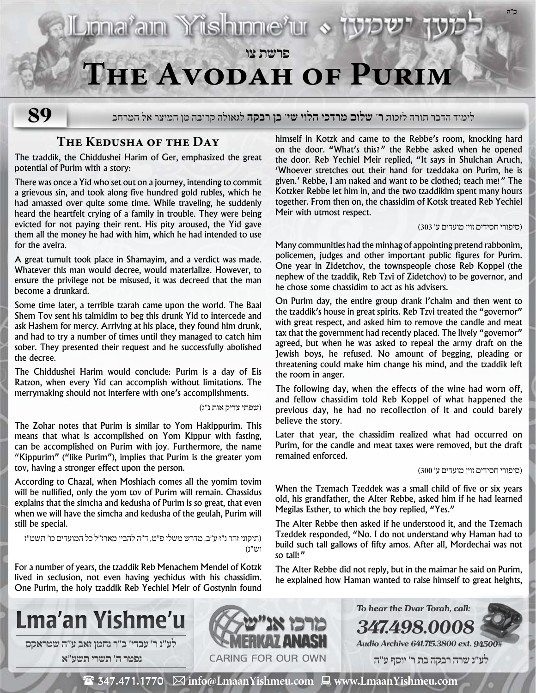

לימוד הדבר תורה לזכות **ר' שלום מרדכי הלוי שי' בן רבקה** לגאולה קרובה מן המיצר אל המרחב

## **The Kedusha of the Day**

Lional'ain Yüshinne'ur «

**89**

The tzaddik, the Chiddushei Harim of Ger, emphasized the great potential of Purim with a story:

There was once a Yid who set out on a journey, intending to commit a grievous sin, and took along five hundred gold rubles, which he had amassed over quite some time. While traveling, he suddenly heard the heartfelt crying of a family in trouble. They were being evicted for not paying their rent. His pity aroused, the Yid gave them all the money he had with him, which he had intended to use for the aveira.

A great tumult took place in Shamayim, and a verdict was made. Whatever this man would decree, would materialize. However, to ensure the privilege not be misused, it was decreed that the man become a drunkard.

Some time later, a terrible tzarah came upon the world. The Baal Shem Tov sent his talmidim to beg this drunk Yid to intercede and ask Hashem for mercy. Arriving at his place, they found him drunk, and had to try a number of times until they managed to catch him sober. They presented their request and he successfully abolished the decree.

The Chiddushei Harim would conclude: Purim is a day of Eis Ratzon, when every Yid can accomplish without limitations. The merrymaking should not interfere with one's accomplishments.

#### )שפתי צדיק אות נ״ג(

The Zohar notes that Purim is similar to Yom Hakippurim. This means that what is accomplished on Yom Kippur with fasting, can be accomplished on Purim with joy. Furthermore, the name "Kippurim" ("like Purim"), implies that Purim is the greater yom tov, having a stronger effect upon the person.

According to Chazal, when Moshiach comes all the yomim tovim will be nullified, only the yom tov of Purim will remain. Chassidus explains that the simcha and kedusha of Purim is so great, that even when we will have the simcha and kedusha of the geulah, Purim will still be special.

)תיקוני זהר נ״ז ע״ב, מדרש משלי פ״ט, ד״ה להבין מארז״ל כל המועדים כו׳ תשט״ז וש״נ(

For a number of years, the tzaddik Reb Menachem Mendel of Kotzk lived in seclusion, not even having yechidus with his chassidim. One Purim, the holy tzaddik Reb Yechiel Meir of Gostynin found himself in Kotzk and came to the Rebbe's room, knocking hard on the door. "What's this?" the Rebbe asked when he opened the door. Reb Yechiel Meir replied, "It says in Shulchan Aruch, 'Whoever stretches out their hand for tzeddaka on Purim, he is given.' Rebbe, I am naked and want to be clothed; teach me!" The Kotzker Rebbe let him in, and the two tzaddikim spent many hours together. From then on, the chassidim of Kotsk treated Reb Yechiel Meir with utmost respect.

### )סיפורי חסידים זוין מועדים ע׳ 303(

**ב"ה**

Many communities had the minhag of appointing pretend rabbonim, policemen, judges and other important public figures for Purim. One year in Zidetchov, the townspeople chose Reb Koppel (the nephew of the tzaddik, Reb Tzvi of Zidetchov) to be governor, and he chose some chassidim to act as his advisers.

On Purim day, the entire group drank l'chaim and then went to the tzaddik's house in great spirits. Reb Tzvi treated the "governor" with great respect, and asked him to remove the candle and meat tax that the government had recently placed. The lively "governor" agreed, but when he was asked to repeal the army draft on the Jewish boys, he refused. No amount of begging, pleading or threatening could make him change his mind, and the tzaddik left the room in anger.

The following day, when the effects of the wine had worn off, and fellow chassidim told Reb Koppel of what happened the previous day, he had no recollection of it and could barely believe the story.

Later that year, the chassidim realized what had occurred on Purim, for the candle and meat taxes were removed, but the draft remained enforced.

)סיפורי חסידים זוין מועדים ע׳ 300(

When the Tzemach Tzeddek was a small child of five or six years old, his grandfather, the Alter Rebbe, asked him if he had learned Megilas Esther, to which the boy replied, "Yes."

The Alter Rebbe then asked if he understood it, and the Tzemach Tzeddek responded, "No. I do not understand why Haman had to build such tall gallows of fifty amos. After all, Mordechai was not so tall!"

The Alter Rebbe did not reply, but in the maimar he said on Purim, he explained how Haman wanted to raise himself to great heights,

**347.498.0008**

**To hear the Dvar Torah, call:**





**Audio Archive 641.715.3800 ext. 94500#**

 **לע"נ שרה רבקה בת ר׳ יוסף ע"ה**

 $\mathbf{\mathcal{F}}$  347.471.1770  $\boxtimes$  info@LmaanYishmeu.com  $\mathbf{\mathcal{F}}$  www.LmaanYishmeu.com